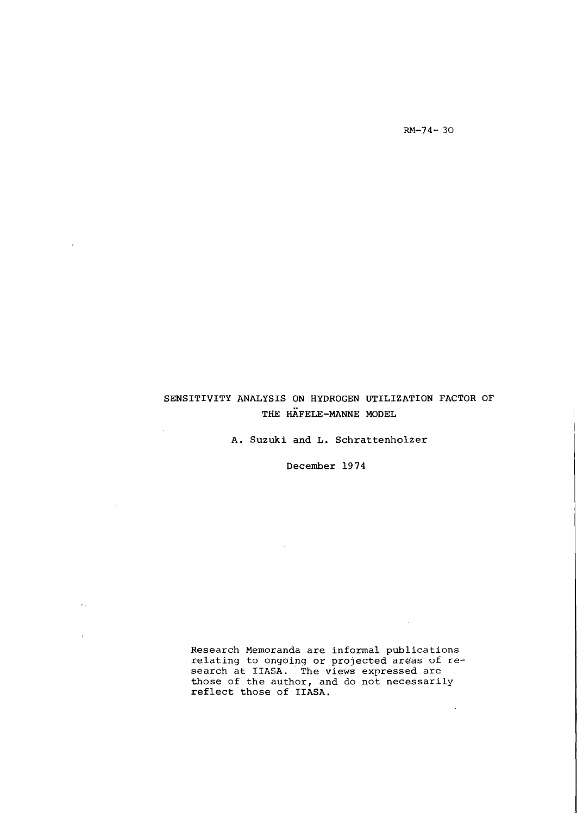$RM-74-30$ 

## SENSITIVITY ANALYSIS ON HYDROGEN UTILIZATION FACTOR OF THE HAFELE-MANNE MODEL

 $\hat{\mathcal{L}}$ 

 $\hat{\mathcal{A}}$ 

 $\bar{L}$ 

 $\sim$ 

 $\bar{\rm{r}}$ 

A. **Suzuki** and L. Schrattenholzer

December 1974

 $\sim 10^{-1}$ 

Research Memoranda are informal publications relating to ongoing or projected areas of research at IIASA. The views expressed are those of the author, and do not necessarily reflect those of IIASA.

 $\sim 10^{11}$ 

 $\sim 10^{-1}$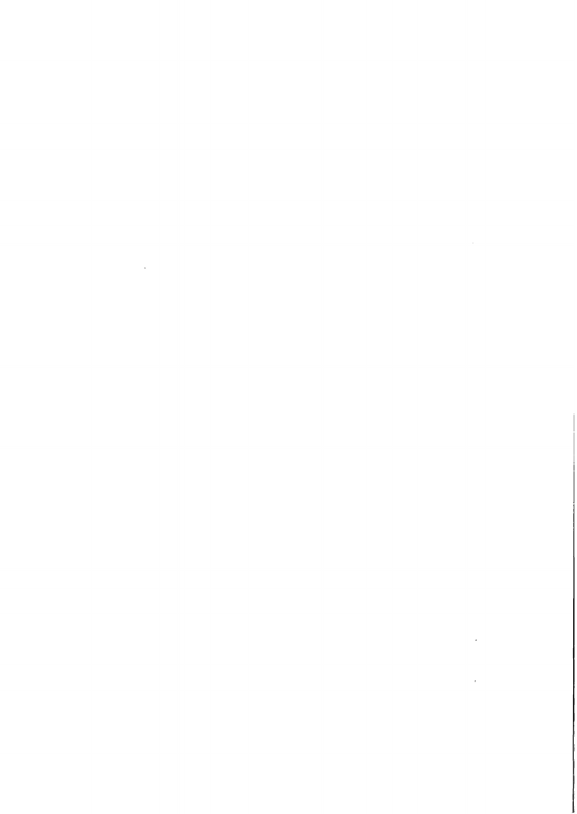$\label{eq:2.1} \frac{1}{\sqrt{2}}\left(\frac{1}{\sqrt{2}}\right)^{2} \left(\frac{1}{\sqrt{2}}\right)^{2} \left(\frac{1}{\sqrt{2}}\right)^{2} \left(\frac{1}{\sqrt{2}}\right)^{2} \left(\frac{1}{\sqrt{2}}\right)^{2} \left(\frac{1}{\sqrt{2}}\right)^{2} \left(\frac{1}{\sqrt{2}}\right)^{2} \left(\frac{1}{\sqrt{2}}\right)^{2} \left(\frac{1}{\sqrt{2}}\right)^{2} \left(\frac{1}{\sqrt{2}}\right)^{2} \left(\frac{1}{\sqrt{2}}\right)^{2} \left(\$ 

 $\mathcal{L}^{\text{max}}_{\text{max}}$  and  $\mathcal{L}^{\text{max}}_{\text{max}}$  $\label{eq:2.1} \frac{1}{\sqrt{2\pi}}\int_{\mathbb{R}^3}\frac{1}{\sqrt{2\pi}}\left(\frac{1}{\sqrt{2\pi}}\right)^2\frac{1}{\sqrt{2\pi}}\int_{\mathbb{R}^3}\frac{1}{\sqrt{2\pi}}\frac{1}{\sqrt{2\pi}}\frac{1}{\sqrt{2\pi}}\frac{1}{\sqrt{2\pi}}\frac{1}{\sqrt{2\pi}}\frac{1}{\sqrt{2\pi}}\frac{1}{\sqrt{2\pi}}\frac{1}{\sqrt{2\pi}}\frac{1}{\sqrt{2\pi}}\frac{1}{\sqrt{2\pi}}\frac{1}{\sqrt{2\pi}}\frac{$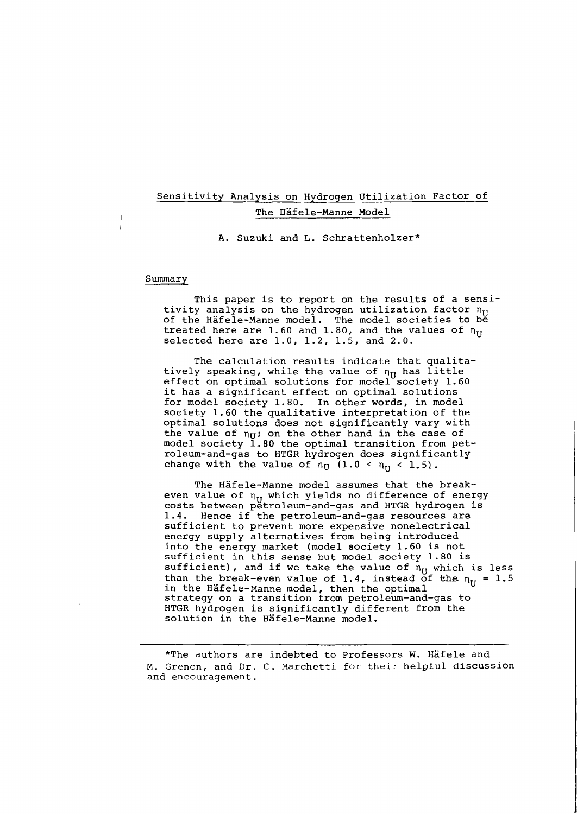## Sensitivity Analysis on Hydrogen Utilization Factor of The Häfele-Manne Model

A. Suzuki and L. Schrattenholzer\*

Summary

 $\overline{1}$ 

This paper is to report on the results of a sensitivity analysis on the hydrogen utilization factor  $n_{H}$ of the Hafele-Manne model. The model societies to be treated here are 1.60 and 1.80, and the values of  $n_{\text{H}}$ selected here are 1.0, 1.2, 1.5, and 2.0.

The calculation results indicate that qualitatively speaking, while the value of  $n_{\text{H}}$  has little effect on optimal solutions for model society 1.60 it has a significant effect on optimal solutions for model society 1.80. In other words, in model society 1.60 the qualitative interpretation of the optimal solutions does not significantly vary with the value of  $n_U$ ; on the other hand in the case of model society 1.80 the optimal transition from petroleum-and-gas to HTGR hydrogen does significantly change with the value of  $n_U$  (1.0 <  $n_U$  < 1.5).

The Häfele-Manne model assumes that the breakeven value of  $n_{\text{II}}$  which yields no difference of energy costs between petroleum-and-gas and HTGR hydrogen is 1.4. Hence if the petroleum-and-gas resources are sufficient to prevent more expensive nonelectrical energy supply alternatives from being introduced into the energy market (model society 1.60 is not sufficient in this sense but model society 1.80 is sufficient), and if we take the value of  $n_U$  which is less than the break-even value of 1.4, instead of the  $n_H = 1.5$ in the Häfele-Manne model, then the optimal strategy on a transition from petroleum-and-gas to HTGR hydrogen is significantly different from the solution in the Häfele-Manne model.

"The authors are indebted to Professors W. Hafele and M. Grenon, and Dr. C. Marchetti for their helgful discussion and encouragement.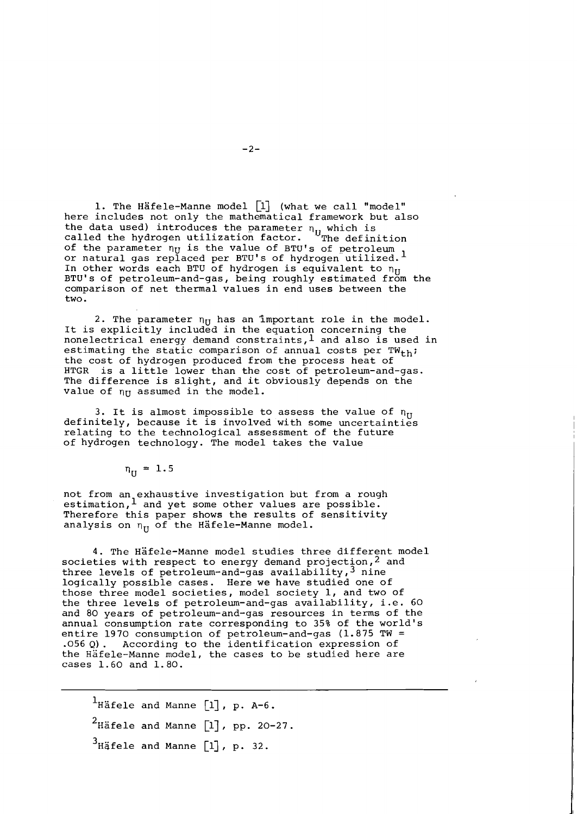1. The Häfele-Manne model  $\begin{bmatrix} 1 \end{bmatrix}$  (what we call "model" here includes not only the mathematical framework but also the data used) introduces the parameter  $n_{ij}$  which is called the hydrogen utilization factor. The definition of the parameter  $n_U$  is the value of BTU's of petroleum or natural gas replaced per BTU's of hydrogen utilized. In other words each BTU of hydrogen is equivalent to  $n_H$ BTU's of petroleum-and-gas, being roughly estimated from the comparison of net thermal values in end uses between the two.

2. The parameter  $n_U$  has an important role in the model. It is explicitly included in the equation concerning the nonelectrical energy demand constraints,  $l$  and also is used in estimating the static comparison of annual costs per TW<sub>th</sub>; the cost of hydrogen produced from the process heat of HTGR is a little lower than the cost of petroleum-and-gas. The difference is slight, and it obviously depends on the value of  $n_U$  assumed in the model.

3. It is almost impossible to assess the value of  $n_{\text{H}}$ definitely, because it is involved with some uncertainties relating to the technological assessment of the future of hydrogen technology. The model takes the value

 $n_{\rm H} = 1.5$ 

not from an exhaustive investigation but from a rough estimation, $^1$  and yet some other values are possible. Therefore this paper shows the results of sensitivity analysis on  $n_{\text{H}}$  of the Häfele-Manne model.

4. The Häfele-Manne model studies three different model societies with respect to energy demand projection,  $2$  and three levels of petroleum-and-gas availability,  $3$  nine logically possible cases. Here we have studied one of those three model societies, model society 1, and two of the three levels of petroleum-and-gas availability, i .e. 60 and 80 years of petroleum-and-gas resources in terms of the annual consumption rate corresponding to 35% of the world's entire 1970 consumption of petroleum-and-gas (1.875 TW = .056 Q). According to the identification expression of According to the identification expression of the Hafele-Manne model, the cases to be studied here are cases 1.60 and 1.80.

 $1_H$ äfele and Manne  $[1]$ , p. A-6.  $2$ Häfele and Manne  $\left[1\right]$ , pp. 20-27.  $3^{3}$ Häfele and Manne  $[1]$ , p. 32.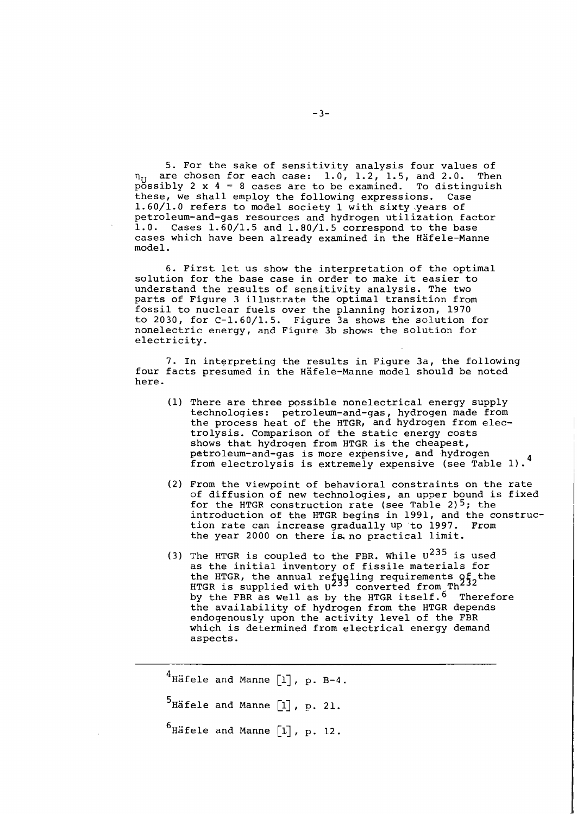5. For the sake of sensitivity analysis four values of are chosen for each case:  $1.0$ ,  $1.2$ ,  $1.5$ , and  $2.0$ . Then possibly 2 x 4 = 8 cases are to be examined. To distinguish these, we shall employ the following expressions. Case 1.60/1.0 refers to model society 1 with sixty .years of petroleum-and-gas resources and hydrogen utilization factor 1.0. Cases 1.60/1.5 and 1.80/1.5 correspond to the base cases which have been already examined in the Häfele-Manne mode 1.

6. First let us show the interpretation of the optimal solution for the base case in order to make it easier to understand the results of sensitivity analysis. The two parts of Figure 3 illustrate the optimal transition from fossil to nuclear fuels over the planning horizon, 1970 to 2030, for C-1.60/1.5. Figure 3a shows the solution for nonelectric energy, and Figure 3b shows the solution for electricity.

7. In interpreting the results in Figure 3a, the following four facts presumed in the Häfele-Manne model should be noted here.

- (1) There are three possible nonelectrical energy supply technologies: petroleum-and-gas, hydrogen made from the process heat of the HTGR, and hydrogen from electrolysis. Comparison of the static energy costs shows that hydrogen from HTGR is the cheapest, pebroleum-and-gas is more expensive, and hydrogen from electrolysis is extremely expensive (see Table 1).<sup>4</sup>
- (2) From the viewpoint of behavioral constraints on the rate of diffusion of new technologies, an upper bound is fixed for the HTGR construction rate (see Table 2)<sup>5</sup>; the introduction of the HTGR begins in 1991, and the construction rate can increase gradually up to 1997. From the year 2000 on there is no practical limit.
- (3) The HTGR is coupled to the FBR. While  $U^{235}$  is used as the initial inventory of fissile materials for the HTGR, the annual refueling requirements of the<br>HTGR is supplied with  $U^{233}$  converted from Th<sup>232</sup> by the FBR as well as by the HTGR itself.<sup>6</sup> Therefore the availability of hydrogen from the HTGR depends endogenously upon the activity level of the FBR endogenously upon the activity level of the FBR<br>which is determined from electrical energy demand<br>aspects. aspects.

 $^{4}$ Häfele and Manne  $[1]$ , p. B-4.  $^{5}$ Häfele and Manne  $[1]$ , p. 21.  $^6$ Häfele and Manne  $[1]$ , p. 12.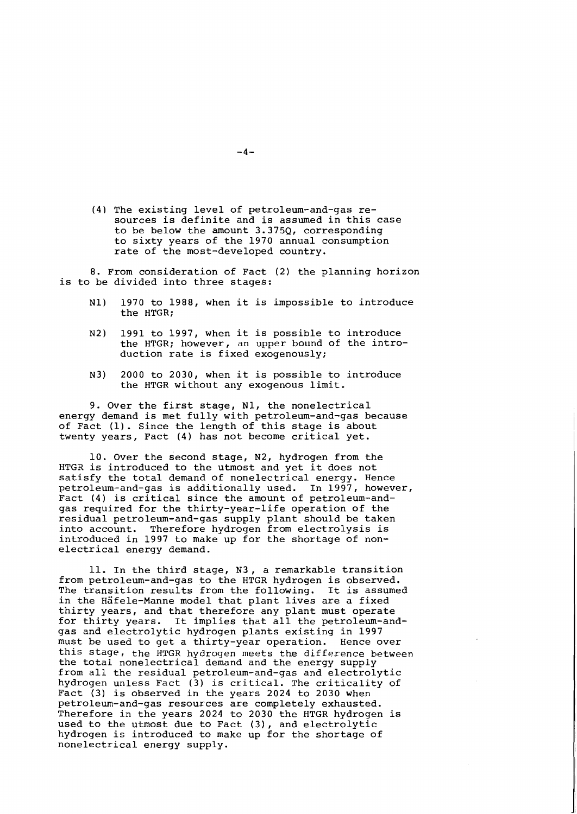(4) The existing level of petroleum-and-gas resources is definite and is assumed in this case to be below the amount  $3.375Q$ , corresponding to sixty years of the 1970 annual consumption rate of the most-developed country.

8. From consideration of Fact (2) the planning horizon is to be divided into three stages:

- N1) 1970 to 1988, when it is impossible to introduce the HTGR;
- N2) 1991 to 1997, when it is possible to introduce the HTGR; however, an upper bound of the introduction rate is fixed exogenously;
- N3) 2000 to 2030, when it is possible to introduce the HTGR without any exogenous limit.

9. Over the first stage, N1, the nonelectrical energy demand is met fully with petroleum-and-gas because of Fact (1). Since the length of this stage is about twenty years, Fact (4) has not become critical yet.

10. Over the second stage, N2, hydrogen from the HTGR is introduced to the utmost and yet it does not satisfy the total demand of nonelectrical energy. Hence petroleum-and-gas is additionally used. In 1997, however, Fact (4) is critical since the amount of petroleum-andgas required for the thirty-year-life operation of the residual petroleum-and-gas supply plant should be taken into account. Therefore hydrogen from electrolysis is introduced in 1997 to make up for the shortage of nonelectrical energy demand.

11. In the third stage, N3, a remarkable transition from petroleum-and-gas to the HTGR hydrogen is observed. The transition results from the following. It is assumed in the Häfele-Manne model that plant lives are a fixed thirty years, and that therefore any plant must operate for thirty years. It implies that all the petroleum-andgas and electrolytic hydrogen plants existing in 1997 must be used to get a thirty-year operation. this stage, the HTGR hydrogen meets the difference between the total nonelectrical demand and the energy supply from all the residual petroleum-and-gas and electrolytic hydrogen unless Fact (3) is critical. The criticality of Fact (3) is observed in the years 2024 to 2030 when petroleum-and-gas resources are completely exhausted. Therefore in the years 2024 to 2030 the HTGR hydrogen is used to the utmost due to Fact (3), and electrolytic hydrogen is introduced to make up for the shortage of nonelectrical energy supply.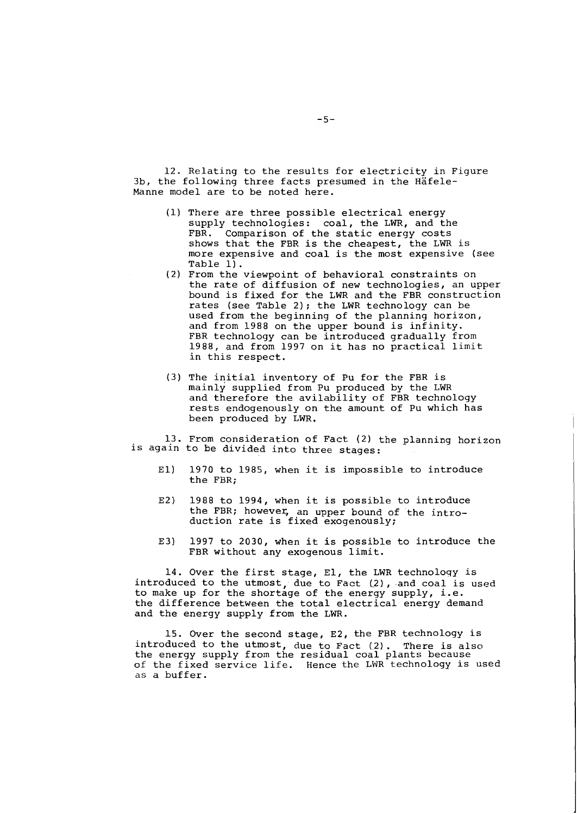12. Relating to the results for electricity in Figure 3b, the following three facts presumed in the Hafele-Manne model are to be noted here.

- (1) There are three possible electrical energy supply technologies: coal, the LWR, and the FBR. Comparison of the static energy costs shows that the FBR is the cheapest, the LWR is more expensive and coal is the most expensive (see Table 1).<br>(2) From the viewpoint of behavioral constraints on
- the rate of diffusion of new technologies, an upper bound is fixed for the LWR and the FBR construction rates (see Table 2); the LWR technology can be used from the beginning of the planning horizon, and from 1988 on the upper bound is infinity. FBR technology can be introduced gradually from 1988, and from 1997 on it has no practical limit in this respect.
- (3) The initial inventory of Pu for the FBR is mainly supplied from Pu produced by the LWR and therefore the avilability of FBR technology rests endogenously on the amount of Pu which has been produced by LWR.

13. From consideration of Fact (2) the planning horizon is again to be divided into three stages:

- El) 1970 to 1985, when it is impossible to introduce the FBR;
- E2) 1988 to 1994, when it is possible to introduce the FBR; however, an upper bound of the introduction rate is fixed exogenously;
- E3) 1997 to 2030, when it is possible to introduce the FBR without any exogenous limit.

14. Over the first stage, El, the LWR technology is introduced to the utmost, due to Fact  $(2)$ , and coal is used to make up for the shortage of the energy supply, i.e. the difference between the total electrical energy demand and the energy supply from the LWR.

15. Over the second stage, E2, the FBR technology is introduced to the utmost, due to Fact  $(2)$ . There is also the energy supply from the residual coal plants because of the fixed service life. Hence the LWR technology is used as a buffer.

 $-5-$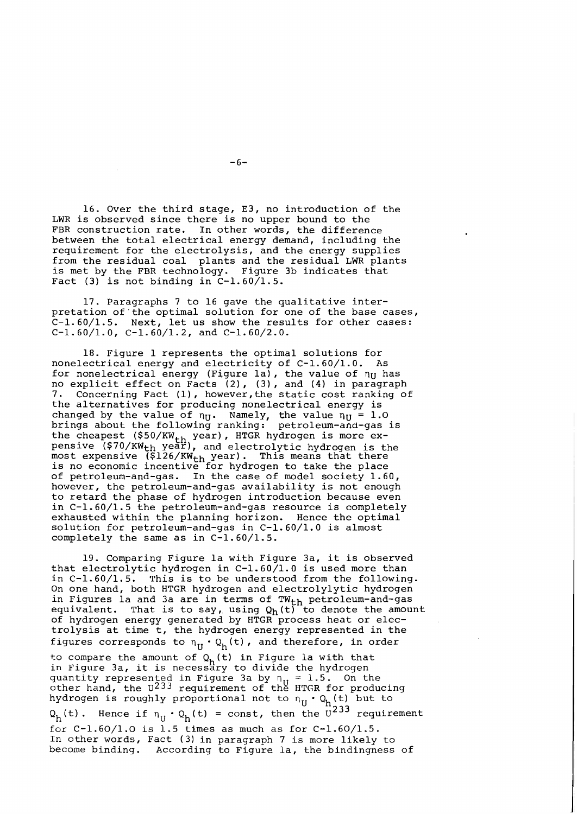16. Over the third stage, E3, no introduction of the LWR is observed since there is no upper bound to the FBR construction rate. In other words, the difference between the total electrical energy demand, including the requirement for the electrolysis, and the energy supplies from the residual coal plants and the residual LWR plants is met by the FBR technology. Figure 3b indicates that Fact (3) is not binding in C-1.60/1.5.

17. Paragraphs 7 to 16 gave the qualitative interpretation of'the optimal solution for one of the base cases, C-1.60/1.5. Next, let us show the results for other cases:  $C-1.60/1.0$ ,  $C-1.60/1.2$ , and  $C-1.60/2.0$ .

18. Figure 1 represents the optimal solutions for nonelectrical energy and electricity of C-1.60/1.0. As for nonelectrical energy (Figure la), the value of  $n_U$  has no explicit effect on Facts (2), (3), and (4) in paragraph 7. Concerning Fact (I), however,the static cost ranking of the alternatives for producing nonelectrical energy is changed by the value of  $n_{\text{U}}$ . Namely, the value  $n_{\text{U}} = 1.0$ brings about the following ranking: petroleum-and-gas is the cheapest (\$50/KW<sub>th</sub> year), HTGR hydrogen is more expensive (\$70/KW<sub>th</sub> year), and electrolytic hydrogen is the most expensive (\$126/KW<sub>th</sub> year). This means that there is no economic incentive for hydrogen to take the place of petroleum-and-gas. In the case of model society 1.60, however, the petroleum-and-gas availability is not enough to retard the phase of hydrogen introduction because even in C-1.60/1.5 the petroleum-and-gas resource is completely exhausted within the planning horizon. Hence the optimal solution for petroleum-and-gas in C-1.60/1.0 is almost completely the same as in C-1.60/1.5.

19. Comparing Figure la with Figure 3a, it is observed that electrolytic hydrogen in C-1.60/1.0 is used more than in C-1.60/1.5. This is to be understood from the following. On one hand, both HTGR hydrogen and electrolylytic hydrogen in Figures la and 3a are in terms of TW<sub>th</sub> petroleum-and-gas equivalent. That is to say, using  $Q_h(t)$  to denote the amount of hydrogen energy generated by HTGR process heat or electrolysis at time t, the hydrogen energy represented in the figures corresponds to  $n_U \cdot Q_h(t)$ , and therefore, in order to compare the amount of Q<sub>1</sub>(t) in Figure la with that<br>in Figure 3a, it is necessary to divide the hydrogen quantity represented in Figure 3a by  $n_{\text{H}} = 1.5$ . On the other hand, the  $0^{233}$  requirement of the HTGR for producing hydrogen is roughly proportional not to  $n_U \cdot Q_h(t)$  but to  $Q_h(t)$ . Hence if  $n_U$   $Q_h(t)$  = const, then the U<sup>233</sup> requirement for  $C-1.60/1.0$  is 1.5 times as much as for  $C-1.60/1.5$ .

In other words, Fact (3) in paragraph 7 is more likely to become binding. According to Figure la, the bindingness of

 $-6-$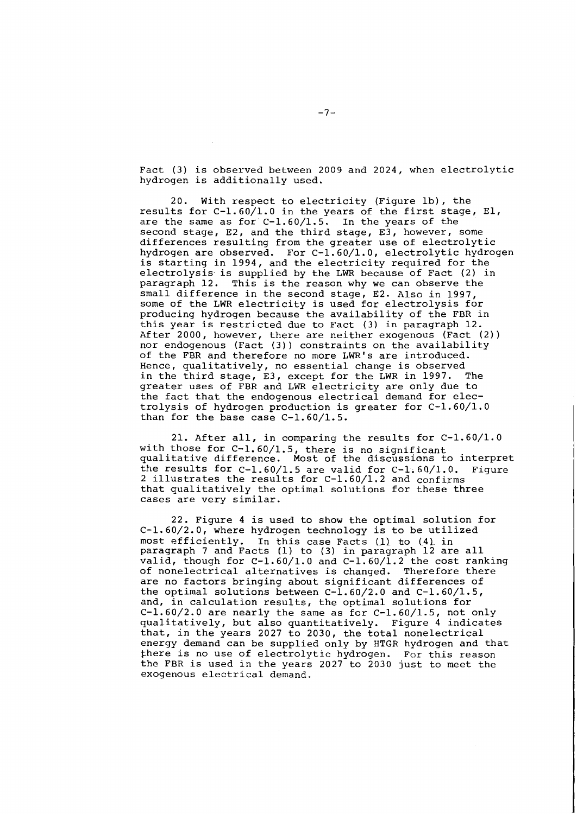Fact (3) is observed between 2009 and 2024, when electrolytic hydrogen is additionally used.

20. With respect to electricity (Figure lb), the results for C-1.60/1.0 in the years of the first stage, El, are the same as for C-1.60/1.5. In the years of the second stage, E2, and the third stage, E3, however, some differences resulting from the greater use of electrolytic hydrogen are observed. For C-1.60/1.0, electrolytic hydrogen is starting in 1994, and the electricity required for the electrolysis. is supplied by the LWR because of Fact (2) in paragraph 12. This is the reason why we can observe the small difference in the second stage, E2. Also in 1997 some of the LWR electricity is used for electrolysis for producing hydrogen because the availability of the FBR in this year is restricted due to Fact (3) in paragraph 12. After 2000, however, there are neither exogenous (Fact (2)) nor endogenous (Fact (3)) constraints on the availability of the FBR and therefore no more LWR's are introduced. Hence, qualitatively, no essential change is observed in the third stage, E3, except for the LWR in 1997. The greater uses of FBR and LWR electricity are only due to the fact that the endogenous electrical demand for electrolysis of hydrogen production is greater for C-1.60/1.0 than for the base case C-1.60/1.5.

21. After all, in comparing the results for C-1.60/1.0 with those for C-1.60/1.5, there is no significant qualitative difference. Most of the discussions to interpret the results for  $C-1.60/1.5$  are valid for  $C-1.60/1.0$ . Figure 2 illustrates the results for C-1.60/1.2 and confirms that qualitatively the optimal solutions for these three cases are very similar.

22. Figure **4** is used to show the optimal solution for C-1.60/2.0, where hydrogen technology is to be utilized most efficiently. In this case Facts  $(1)$  to  $(4)$  in paragraph 7 and Facts (1) to (3) in paragraph 12 are all valid, though for C-1.60/1.0 and C-1.60/1.2 the cost ranking of nonelectrical alternatives is changed. Therefore there are no factors bringing about significant differences of the optimal solutions between C-1.60/2.0 and C-1.60/1.5, and, in calculation results, the optimal solutions for C-1.60/2.0 are nearly the same as for C-1.60/1.5, not only qualitatively, but also quantitatively. Figure 4 indicates that, in the years 2027 to 2030, the total nonelectrical energy demand can be supplied only by HTGR hydrogen and that there is no use of electrolytic hydrogen. For this reason the FBR is used in the years 2027 to 2030 just to meet the exogenous electrical demand.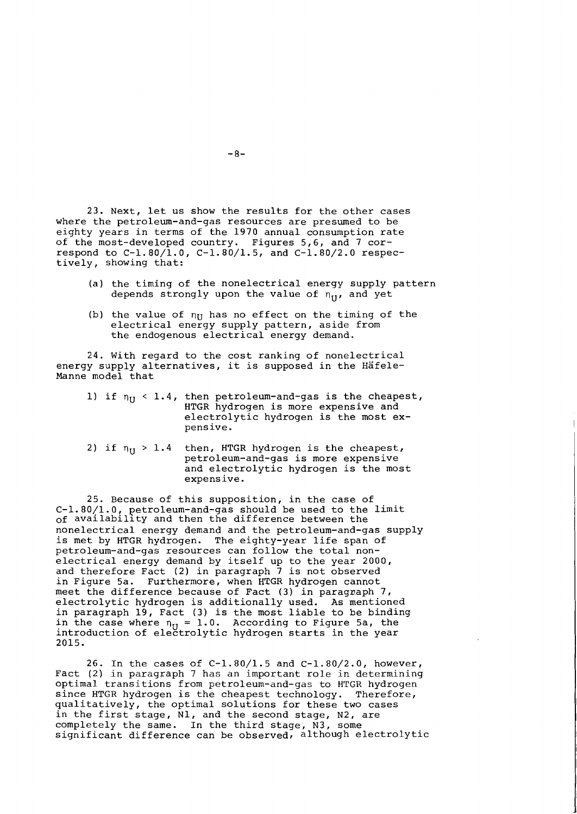23. Next, let us show the results for the other cases where the petroleum-and-gas resources are presumed to be eighty years in terms of the 1970 annual consumption rate of the most-developed country. Figures 5,6, and 7 correspond to  $C-1.80/1.0$ ,  $C-1.80/1.5$ , and  $C-1.80/2.0$  respectively, showing that:

- (a) the timing of the nonelectrical energy supply pattern depends strongly upon the value of  $\eta_{II}$ , and yet
- (b) the value of  $\eta_{II}$  has no effect on the timing of the electrical energy supply pattern, aside from the endogenous electrical energy demand.

24. With regard to the cost ranking of nonelectrical energy supply alternatives, it is supposed in the Hafele-Manne model that

| HTGR hydrogen is more expensive and<br>electrolytic hydrogen is the most ex-<br>pensive. |
|------------------------------------------------------------------------------------------|
|------------------------------------------------------------------------------------------|

2) if  $n_{\text{H}} > 1.4$  then, HTGR hydrogen is the cheapest, petroleum-and-gas is more expensive and electrolytic hydrogen is the most expensive.

25. Because of this supposition, in the case of C-1.80/1.0, petroleum-and-gas should be used to the limit of availability and then the difference between the nonelectrical energy demand and the petroleum-and-gas supply is met by HTGR hydrogen. The eighty-year life span of petroleum-and-gas resources can follow the total nonelectrical energy demand by itself up to the year 2000, and therefore Fact **(2)** in paragraph 7 is not observed in Figure 5a. Furthermore, when HTGR hydrogen cannot meet the difference because of Fact (3) in paragraph 7, mose the difference secures of face (3) in paragraph ...<br>electrolytic hydrogen is additionally used. As mentioned in paragraph 19, Fact **(3)** is the most liable to be binding in the case where  $n_{H} = 1.0$ . According to Figure 5a, the introduction of electrolytic hydrogen starts in the year 2015.

26. In the cases of C-1.80/1.5 and C-1.80/2.0, however, Fact (2) in paragraph 7 has an important role in determining optimal transitions from petroleum-and-gas to HTGR hydrogen since HTGR hydrogen is the cheapest technology. Therefore, qualitatively, the optimal solutions for these two cases in the first stage, N1, and the second stage, N2, are completely the same. In the third stage, N3, some significant difference can be observed, although electrolytic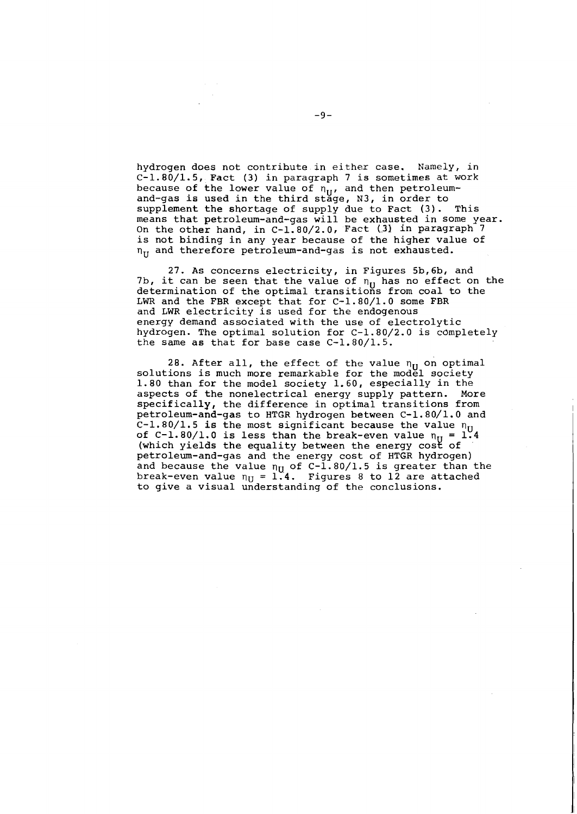hydrogen does not contribute in either case. Namely, in C-1.80/1.5, Fact **(3)** in paragraph 7 is sometimes at work because of the lower value of  $n_{\text{H}}$ , and then petroleumand-gas is used in the third stage, N3, in order to<br>supplement the shortage of supply due to Fact (3). This supplement the shortage of supply due to Fact  $(3)$ . means that petroleum-and-gas will be exhausted in some year. On the other hand, in C-1.80/2. 0, Fact **C31** in paragraph 7 is not binding in any year because of the higher value of  $n_{\text{H}}$  and therefore petroleum-and-gas is not exhausted.

27. As concerns electricity, in Figures 5b,6b, and 7b, it can be seen that the value of  $n_{II}$  has no effect on the determination of the optimal transitions from coal to the LWR and the FBR except that for C-1.80/1.0 some FBR and LWR electricity is used for the endogenous energy demand associated with the use of electrolytic hydrogen. The optimal solution for C-1.80/2.0 is completely the same as that for base case C-1.80/1.5.

28. After all, the effect of the value  $n_U$  on optimal solutions is much more remarkable for the model society 1.80 than for the model society 1.60, especially in the aspects of the nonelectrical energy supply pattern. More specifically, the difference in optimal transitions from petroleum-and-gas to HTGR hydrogen between C-1.80/1.0 and C-1.80/1.5 is the most significant because the value  $n_U$ of C-1.80/1.0 is less than the break-even value  $n_U = 1.4$ (which yields the equality between the energy cost of petroleum-and-gas and the energy cost of HTGR hydrogen)<br>and because the value n<sub>U</sub> of C-1.80/1.5 is greater than the break-even value  $n_U = 1.4$ . Figures 8 to 12 are attached to give a visual understanding of the conclusions.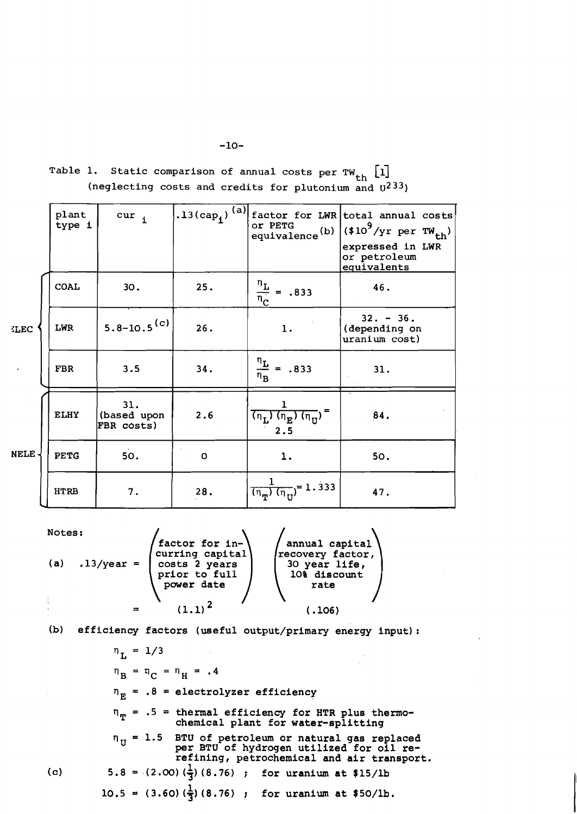|  | Table 1. Static comparison of annual costs per TW <sub>+h</sub> $\begin{bmatrix} 1 \end{bmatrix}$ |  |  |  |  |  |  |
|--|---------------------------------------------------------------------------------------------------|--|--|--|--|--|--|
|  | (neglecting costs and credits for plutonium and $U^{233}$ )                                       |  |  |  |  |  |  |

|             | plant<br>type 1 | $cur_{i}$                        | $13(cap_1)^{(a)}$ | or PETG                                                                | factor for LWR total annual costs<br>or PETG<br>equivalence <sup>(b)</sup> (\$10 <sup>9</sup> /yr per TW <sub>th</sub> )<br>expressed in LWR<br>or petroleum<br>equivalents |
|-------------|-----------------|----------------------------------|-------------------|------------------------------------------------------------------------|-----------------------------------------------------------------------------------------------------------------------------------------------------------------------------|
|             | COAL            | 30.                              | 25.               | $\frac{n_{\rm L}}{n_{\rm C}} = .833$                                   | 46.                                                                                                                                                                         |
| <b>ELEC</b> | LWR             | $5.8 - 10.5$ <sup>(c)</sup>      | 26.               | 1.                                                                     | $32. - 36.$<br>(depending on<br>uranium cost)                                                                                                                               |
|             | <b>FBR</b>      | 3.5                              | 34.               | $\frac{n_{\rm L}}{n_{\rm B}} = .833$                                   | 31.                                                                                                                                                                         |
|             | <b>ELHY</b>     | 31.<br>(based upon<br>FBR costs) | 2.6               | $\overline{(\eta_{\rm L}) \, (\eta_{\rm E}) \, (\eta_{\rm U})}$<br>2.5 | 84.                                                                                                                                                                         |
| <b>NELE</b> | <b>PETG</b>     | 50.                              | $\mathbf{o}$      | 1.                                                                     | 50.                                                                                                                                                                         |
|             | <b>HTRB</b>     | 7.                               | 28.               | $= 1.333$<br>$\overline{(\eta_{\pi})} \overline{(\eta_{\pi})}$         | 47.                                                                                                                                                                         |

Notes : factor for in- annual capital recovery factor,<br>30 year life,<br>10% discount (a) .13/year = power date rate  $=$   $(1.1)^2$  (.106)

## (b) efficiency factors (useful output/primary energy input) :

 $n_{L} = 1/3$  $n_B = n_C = n_H = .4$  $\eta_E$  = .8 = electrolyzer efficiency  $n_m = .5$  = thermal efficiency for HTR plus thermochemical plant for water-splitting  $\eta_{\text{H}}$  = 1.5 BTU of petroleum or natural gas replaced per BTU of hydrogen utilized for oil rerefining, petrochemical and air transport. 5.8 =  $(2.00)$   $(\frac{1}{3})$  (8.76) ; for uranium at \$15/lb  $(c)$ 10.5 =  $(3.60)(\frac{1}{3})(8.76)$  ; for uranium at \$50/lb.

$$
-10-
$$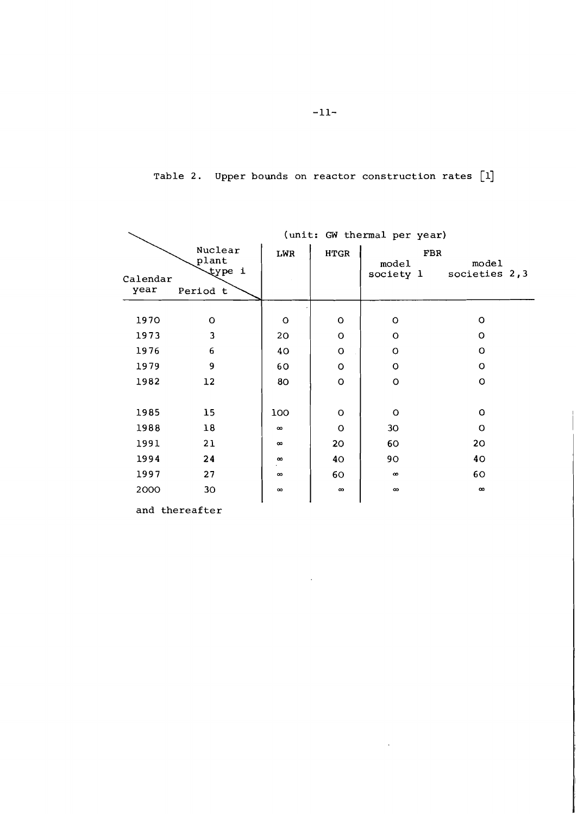Table **2.** Upper bounds on reactor construction rates [l]

|                  |                                        | (unit: GW thermal per year) |          |                    |                               |  |  |  |
|------------------|----------------------------------------|-----------------------------|----------|--------------------|-------------------------------|--|--|--|
| Calendar<br>year | Nuclear<br>plant<br>type i<br>Period t | LWR                         | HTGR     | model<br>society 1 | FBR<br>model<br>societies 2,3 |  |  |  |
|                  |                                        |                             |          |                    |                               |  |  |  |
| 1970             | o                                      | $\circ$                     | $\circ$  | $\circ$            | O                             |  |  |  |
| 1973             | 3                                      | 20                          | $\circ$  | $\circ$            | O                             |  |  |  |
| 1976             | $\epsilon$                             | 40                          | $\circ$  | $\circ$            | o                             |  |  |  |
| 1979             | 9                                      | 60                          | $\circ$  | $\circ$            | $\mathbf O$                   |  |  |  |
| 1982             | 12                                     | 80                          | $\circ$  | $\circ$            | O                             |  |  |  |
| 1985             | 15                                     | 100                         | $\circ$  | $\circ$            | O                             |  |  |  |
| 1988             | 18                                     | $\infty$                    | $\circ$  | 30                 | $\circ$                       |  |  |  |
| 1991             | 21                                     | $\infty$                    | 20       | 60                 | 20                            |  |  |  |
| 1994             | 24                                     | $\infty$                    | 40       | 90                 | 40                            |  |  |  |
| 1997             | 27                                     | $\infty$                    | 60       | $\infty$           | 60                            |  |  |  |
| 2000             | 30                                     | $\infty$                    | $\infty$ | $\infty$           | $\infty$                      |  |  |  |
|                  | and thereafter                         |                             |          |                    |                               |  |  |  |

 $\sim 10^{-11}$ 

 $\mathcal{L}_{\mathcal{C}}$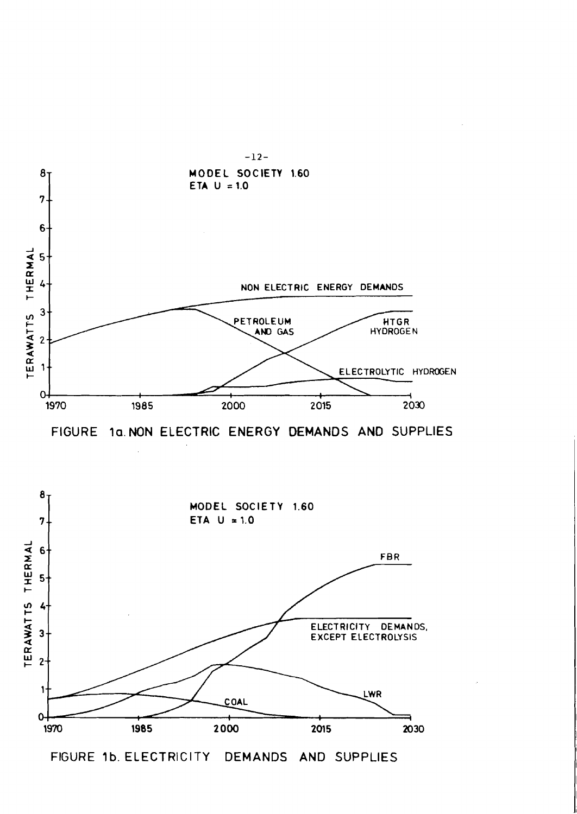

**MOOEL SOCIETY 1.60** 

 $-12-$ 

**ETA** U = **1.0** 

 $8<sub>T</sub>$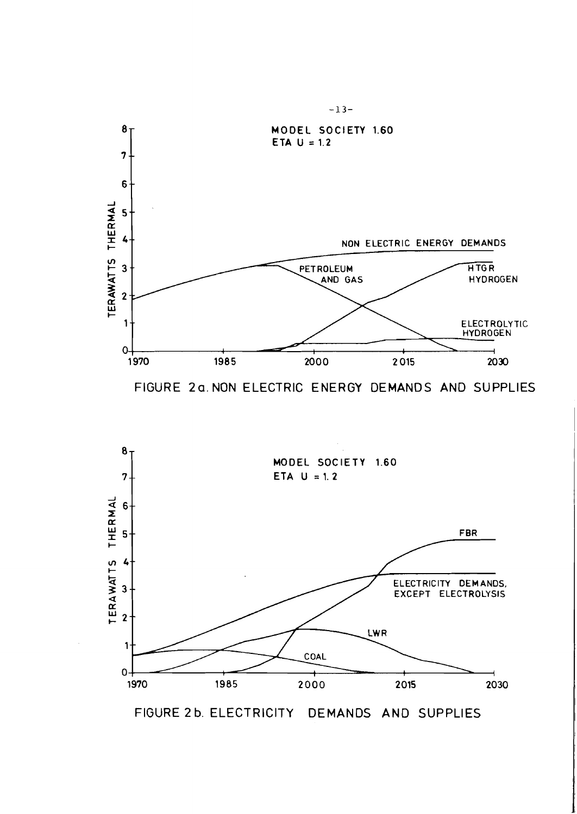

 $-13-$ 

**FIGURE 2 b. ELECTRICITY DEMANDS AND SUPPLIES**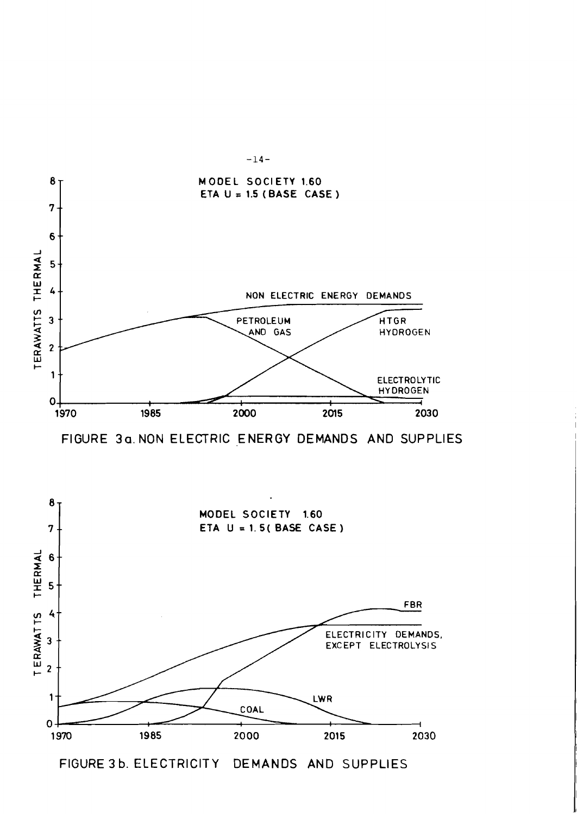



**FIGURE 3 b. ELECTRICITY DEMANDS AND SUPPLIES**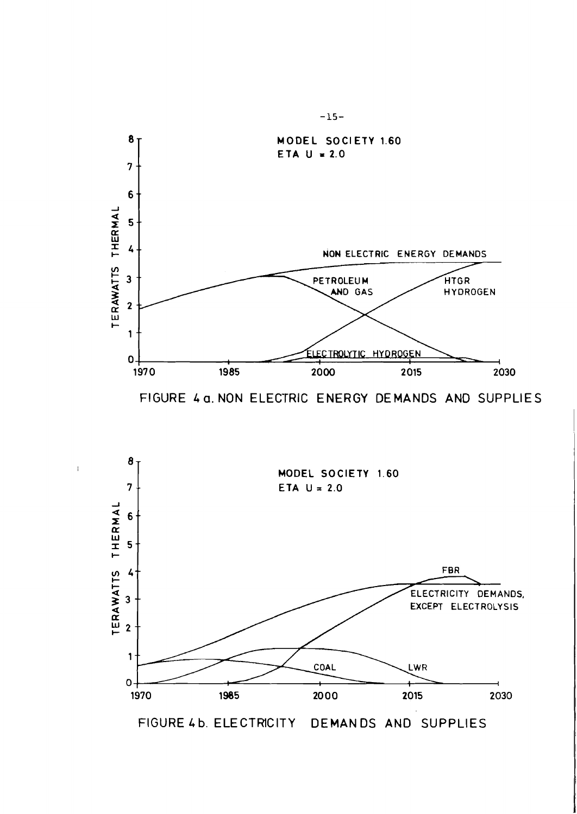

 $\overline{1}$ 

 $\mathsf{o}$ 

FIGURE 4 b. ELECTRCITY DEMAN DS AND SUPPLIES

**1970 1985 2000 2015 2030** 

 $-15-$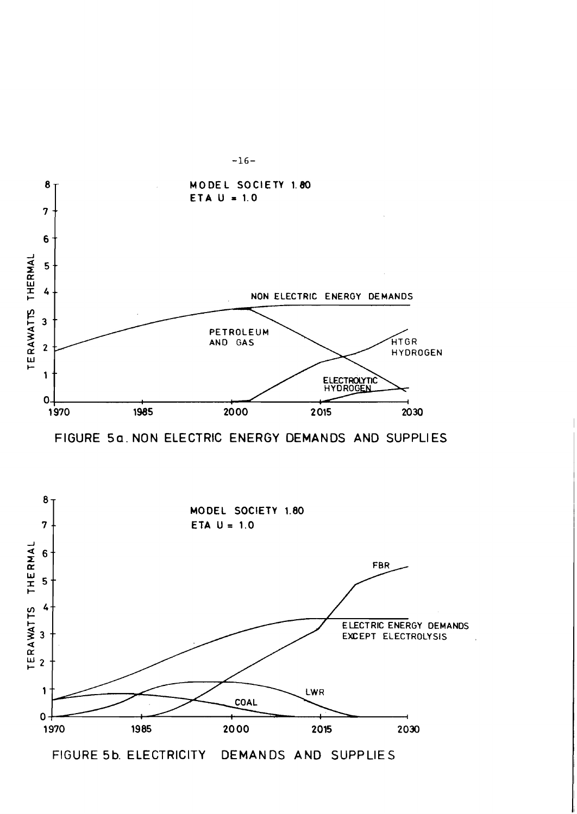





 $-16-$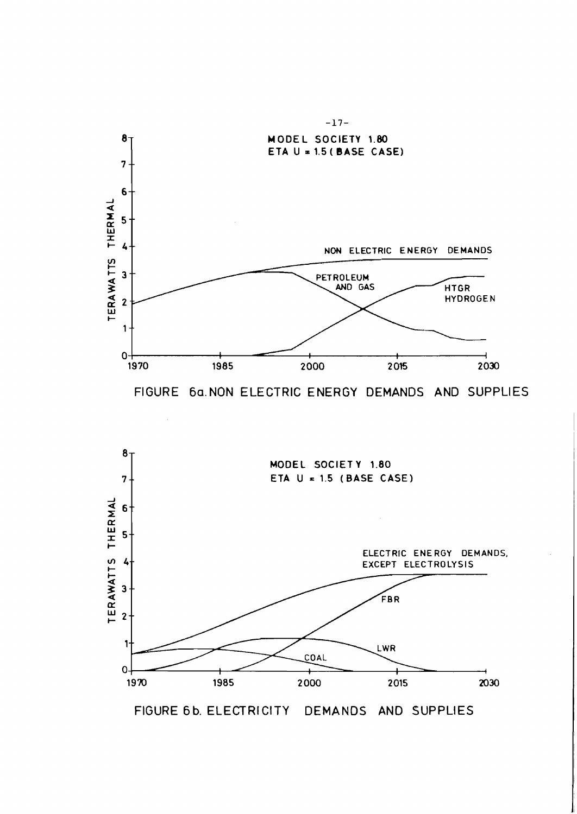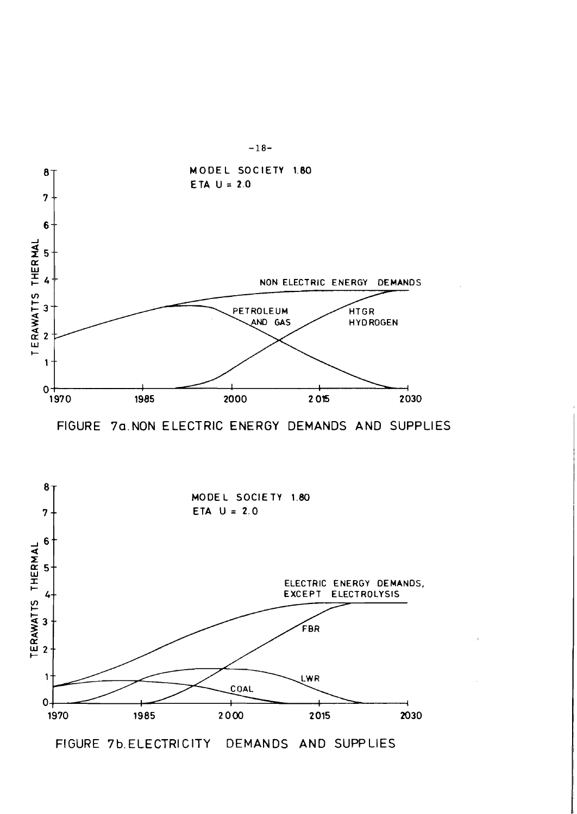





 $-18-$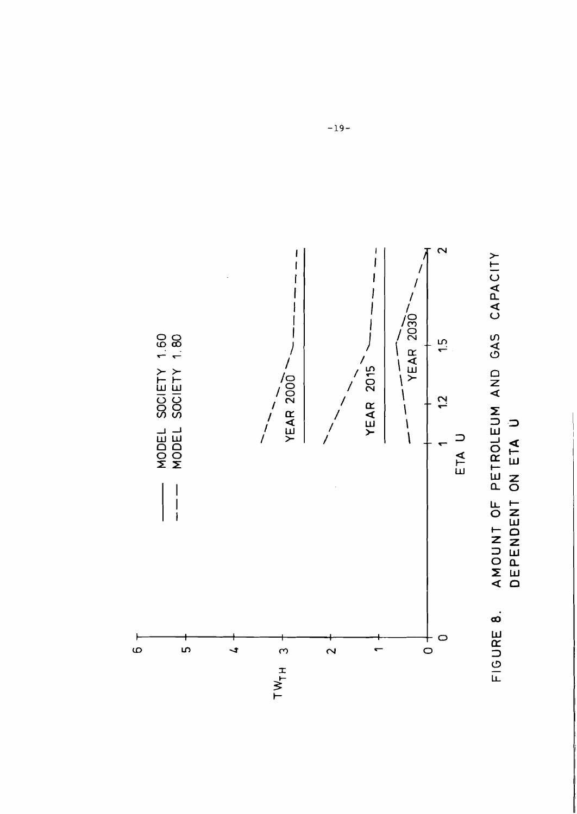

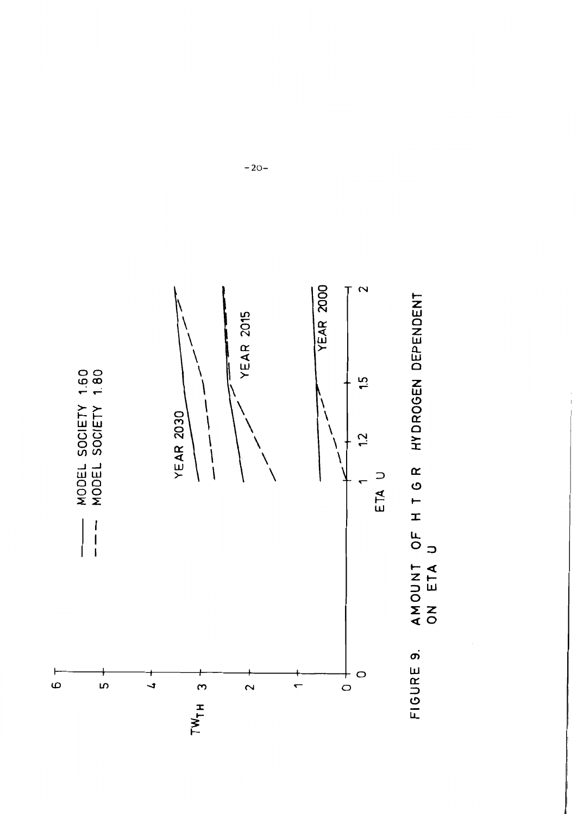



 $-20-$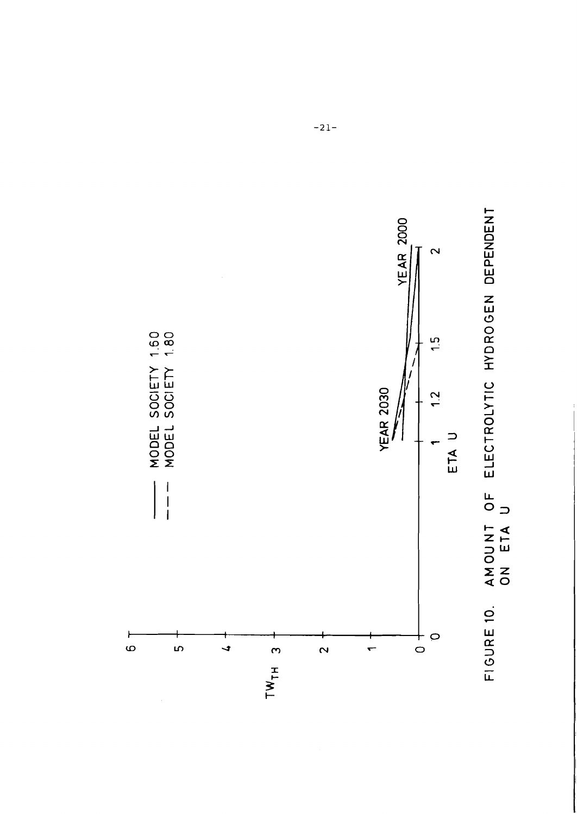

 $-21-$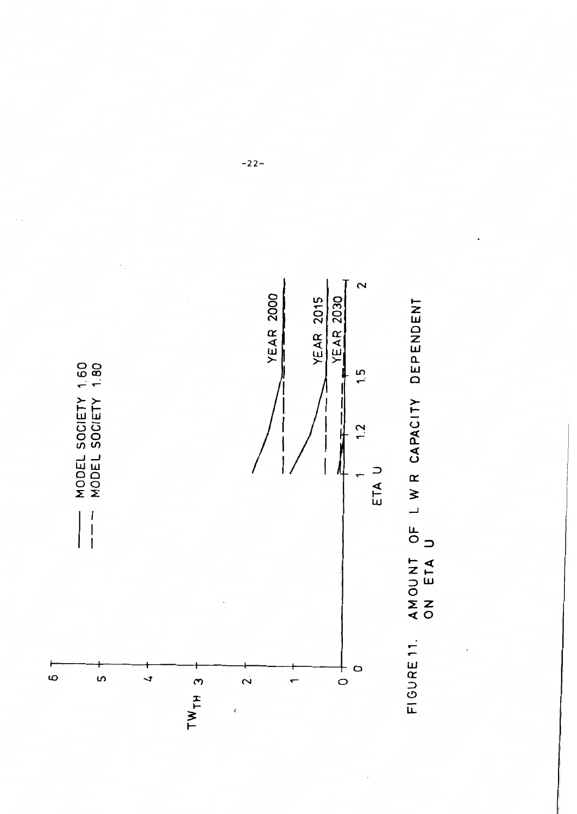

AMOUNT OF LWR CAPACITY DEPENDENT<br>ON ETA U FIGURE 11.

 $-22-$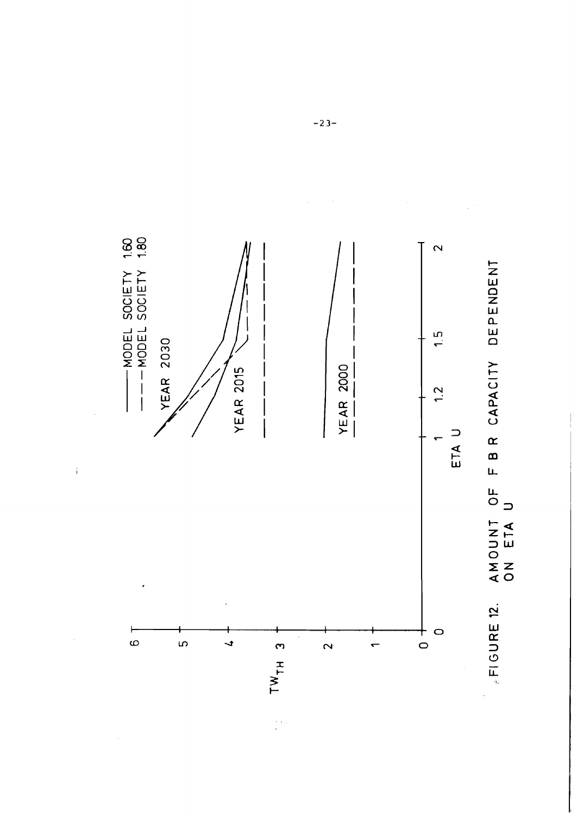

 $-23-$ 

 $\frac{1}{2}$  ) .